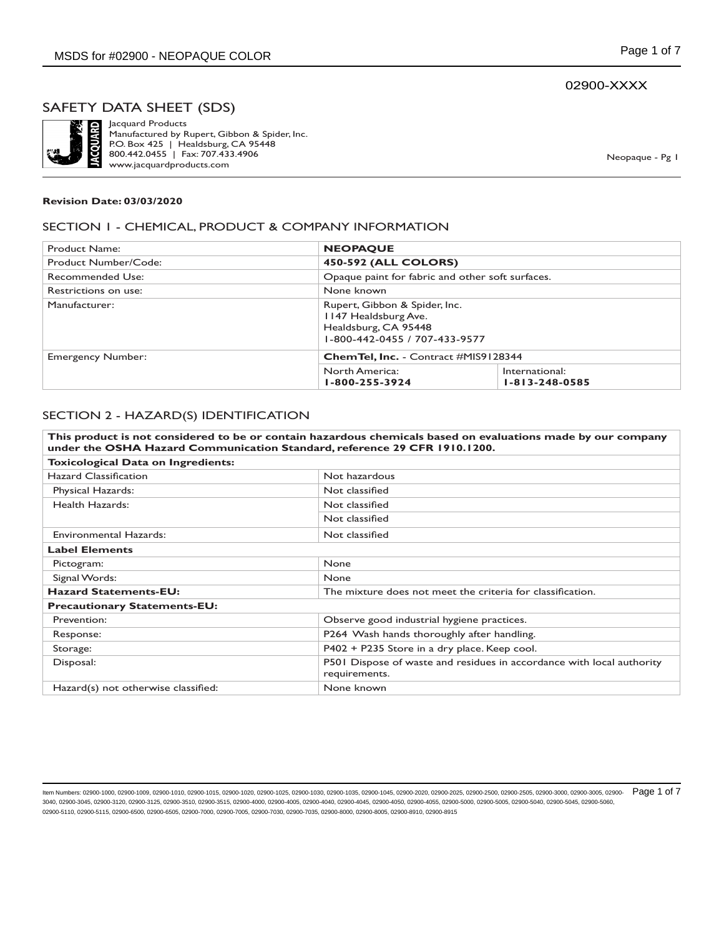# 02900-XXXX

# SAFETY DATA SHEET (SDS)



Jacquard Products Manufactured by Rupert, Gibbon & Spider, Inc. P.O. Box 425 | Healdsburg, CA 95448 800.442.0455 | Fax: 707.433.4906 www.jacquardproducts.com

Neopaque - Pg 1

#### **Revision Date: 03/03/2020**

#### SECTION 1 - CHEMICAL, PRODUCT & COMPANY INFORMATION

| Product Name:            | <b>NEOPAQUE</b>                                                                                                |                                                  |  |
|--------------------------|----------------------------------------------------------------------------------------------------------------|--------------------------------------------------|--|
| Product Number/Code:     |                                                                                                                | <b>450-592 (ALL COLORS)</b>                      |  |
| Recommended Use:         |                                                                                                                | Opaque paint for fabric and other soft surfaces. |  |
| Restrictions on use:     | None known                                                                                                     |                                                  |  |
| Manufacturer:            | Rupert, Gibbon & Spider, Inc.<br>1147 Healdsburg Ave.<br>Healdsburg, CA 95448<br>1-800-442-0455 / 707-433-9577 |                                                  |  |
| <b>Emergency Number:</b> |                                                                                                                | <b>ChemTel, Inc.</b> - Contract #MIS9128344      |  |
|                          | North America:<br>1-800-255-3924                                                                               | International:<br>$1 - 813 - 248 - 0585$         |  |

#### SECTION 2 - HAZARD(S) IDENTIFICATION

|                                     | This product is not considered to be or contain hazardous chemicals based on evaluations made by our company<br>under the OSHA Hazard Communication Standard, reference 29 CFR 1910.1200. |  |
|-------------------------------------|-------------------------------------------------------------------------------------------------------------------------------------------------------------------------------------------|--|
| Toxicological Data on Ingredients:  |                                                                                                                                                                                           |  |
| <b>Hazard Classification</b>        | Not hazardous                                                                                                                                                                             |  |
| Physical Hazards:                   | Not classified                                                                                                                                                                            |  |
| Health Hazards:                     | Not classified                                                                                                                                                                            |  |
|                                     | Not classified                                                                                                                                                                            |  |
| Environmental Hazards:              | Not classified                                                                                                                                                                            |  |
| <b>Label Elements</b>               |                                                                                                                                                                                           |  |
| Pictogram:                          | <b>None</b>                                                                                                                                                                               |  |
| Signal Words:                       | <b>None</b>                                                                                                                                                                               |  |
| <b>Hazard Statements-EU:</b>        | The mixture does not meet the criteria for classification.                                                                                                                                |  |
| <b>Precautionary Statements-EU:</b> |                                                                                                                                                                                           |  |
| Prevention:                         | Observe good industrial hygiene practices.                                                                                                                                                |  |
| Response:                           | P264 Wash hands thoroughly after handling.                                                                                                                                                |  |
| Storage:                            | P402 + P235 Store in a dry place. Keep cool.                                                                                                                                              |  |
| Disposal:                           | P501 Dispose of waste and residues in accordance with local authority<br>requirements.                                                                                                    |  |
| Hazard(s) not otherwise classified: | None known                                                                                                                                                                                |  |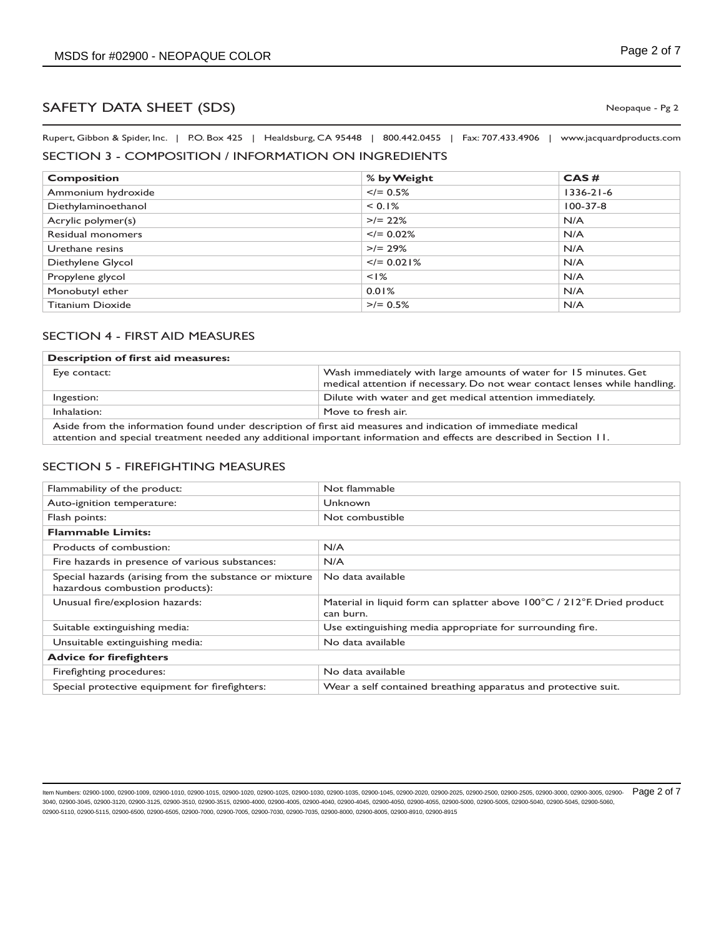Rupert, Gibbon & Spider, Inc. | P.O. Box 425 | Healdsburg, CA 95448 | 800.442.0455 | Fax: 707.433.4906 | www.jacquardproducts.com

# SECTION 3 - COMPOSITION / INFORMATION ON INGREDIENTS

| <b>Composition</b>      | % by Weight     | CAS#            |
|-------------------------|-----------------|-----------------|
| Ammonium hydroxide      | $\leq$ /= 0.5%  | $1336 - 21 - 6$ |
| Diethylaminoethanol     | < 0.1%          | $100 - 37 - 8$  |
| Acrylic polymer(s)      | $>$ /= 22%      | N/A             |
| Residual monomers       | $\leq$ /= 0.02% | N/A             |
| Urethane resins         | $>$ /= 29%      | N/A             |
| Diethylene Glycol       | $\le$ /= 0.021% | N/A             |
| Propylene glycol        | $<$ $1\%$       | N/A             |
| Monobutyl ether         | 0.01%           | N/A             |
| <b>Titanium Dioxide</b> | $>$ /= 0.5%     | N/A             |

# SECTION 4 - FIRST AID MEASURES

| <b>Description of first aid measures:</b>                                                                    |                                                                                                                                                |  |
|--------------------------------------------------------------------------------------------------------------|------------------------------------------------------------------------------------------------------------------------------------------------|--|
| Eye contact:                                                                                                 | Wash immediately with large amounts of water for 15 minutes. Get<br>medical attention if necessary. Do not wear contact lenses while handling. |  |
| Ingestion:                                                                                                   | Dilute with water and get medical attention immediately.                                                                                       |  |
| Inhalation:<br>Move to fresh air.                                                                            |                                                                                                                                                |  |
| Aside from the information found under description of first aid measures and indication of immediate medical |                                                                                                                                                |  |

attention and special treatment needed any additional important information and effects are described in Section 11.

#### SECTION 5 - FIREFIGHTING MEASURES

| Flammability of the product:                                                              | Not flammable                                                                        |
|-------------------------------------------------------------------------------------------|--------------------------------------------------------------------------------------|
| Auto-ignition temperature:                                                                | Unknown                                                                              |
| Flash points:                                                                             | Not combustible                                                                      |
| <b>Flammable Limits:</b>                                                                  |                                                                                      |
| Products of combustion:                                                                   | N/A                                                                                  |
| Fire hazards in presence of various substances:                                           | N/A                                                                                  |
| Special hazards (arising from the substance or mixture<br>hazardous combustion products): | No data available                                                                    |
| Unusual fire/explosion hazards:                                                           | Material in liquid form can splatter above 100°C / 212°F. Dried product<br>can burn. |
| Suitable extinguishing media:                                                             | Use extinguishing media appropriate for surrounding fire.                            |
| Unsuitable extinguishing media:                                                           | No data available                                                                    |
| <b>Advice for firefighters</b>                                                            |                                                                                      |
| Firefighting procedures:                                                                  | No data available                                                                    |
| Special protective equipment for firefighters:                                            | Wear a self contained breathing apparatus and protective suit.                       |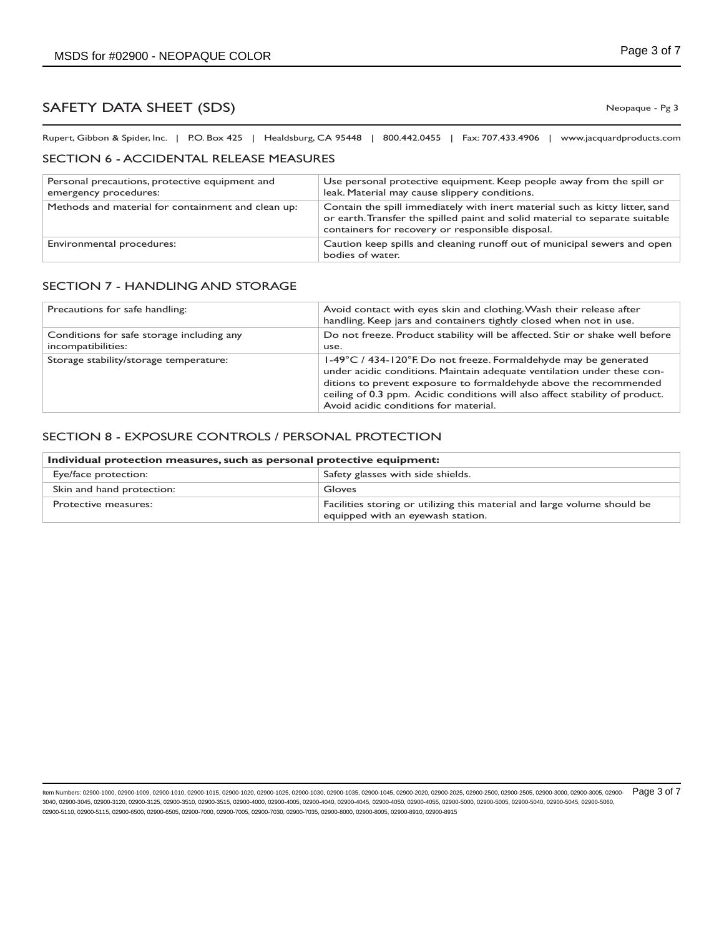Rupert, Gibbon & Spider, Inc. | P.O. Box 425 | Healdsburg, CA 95448 | 800.442.0455 | Fax: 707.433.4906 | www.jacquardproducts.com

#### SECTION 6 - ACCIDENTAL RELEASE MEASURES

| Personal precautions, protective equipment and<br>emergency procedures: | Use personal protective equipment. Keep people away from the spill or<br>leak. Material may cause slippery conditions.                                                                                           |
|-------------------------------------------------------------------------|------------------------------------------------------------------------------------------------------------------------------------------------------------------------------------------------------------------|
| Methods and material for containment and clean up:                      | Contain the spill immediately with inert material such as kitty litter, sand<br>or earth. Transfer the spilled paint and solid material to separate suitable<br>containers for recovery or responsible disposal. |
| Environmental procedures:                                               | Caution keep spills and cleaning runoff out of municipal sewers and open<br>bodies of water.                                                                                                                     |

## SECTION 7 - HANDLING AND STORAGE

| Precautions for safe handling:                                  | Avoid contact with eyes skin and clothing. Wash their release after<br>handling. Keep jars and containers tightly closed when not in use.                                                                                                                                                                                                 |
|-----------------------------------------------------------------|-------------------------------------------------------------------------------------------------------------------------------------------------------------------------------------------------------------------------------------------------------------------------------------------------------------------------------------------|
| Conditions for safe storage including any<br>incompatibilities: | Do not freeze. Product stability will be affected. Stir or shake well before<br>use.                                                                                                                                                                                                                                                      |
| Storage stability/storage temperature:                          | 1-49°C / 434-120°F. Do not freeze. Formaldehyde may be generated<br>under acidic conditions. Maintain adequate ventilation under these con-<br>ditions to prevent exposure to formaldehyde above the recommended<br>ceiling of 0.3 ppm. Acidic conditions will also affect stability of product.<br>Avoid acidic conditions for material. |

## SECTION 8 - EXPOSURE CONTROLS / PERSONAL PROTECTION

| Individual protection measures, such as personal protective equipment: |                                                                                                               |
|------------------------------------------------------------------------|---------------------------------------------------------------------------------------------------------------|
| Eye/face protection:                                                   | Safety glasses with side shields.                                                                             |
| Skin and hand protection:                                              | Gloves                                                                                                        |
| Protective measures:                                                   | Facilities storing or utilizing this material and large volume should be<br>equipped with an eyewash station. |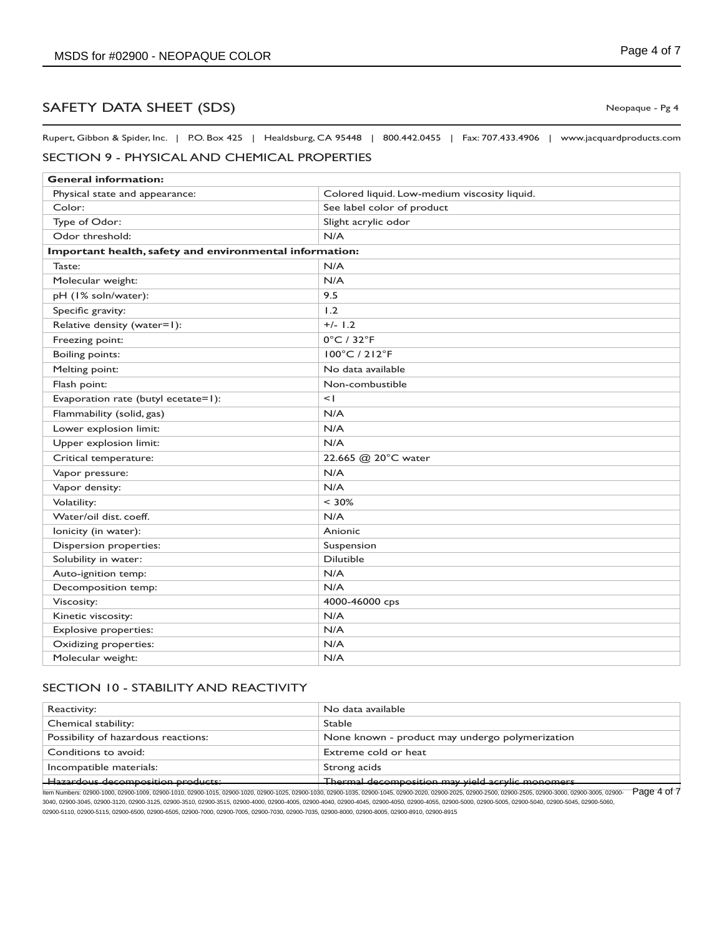Rupert, Gibbon & Spider, Inc. | P.O. Box 425 | Healdsburg, CA 95448 | 800.442.0455 | Fax: 707.433.4906 | www.jacquardproducts.com

# SECTION 9 - PHYSICAL AND CHEMICAL PROPERTIES

| <b>General information:</b>                             |                                              |  |
|---------------------------------------------------------|----------------------------------------------|--|
| Physical state and appearance:                          | Colored liquid. Low-medium viscosity liquid. |  |
| Color:                                                  | See label color of product                   |  |
| Type of Odor:                                           | Slight acrylic odor                          |  |
| Odor threshold:                                         | N/A                                          |  |
| Important health, safety and environmental information: |                                              |  |
| Taste:                                                  | N/A                                          |  |
| Molecular weight:                                       | N/A                                          |  |
| pH (1% soln/water):                                     | 9.5                                          |  |
| Specific gravity:                                       | 1.2                                          |  |
| Relative density (water=1):                             | $+/- 1.2$                                    |  |
| Freezing point:                                         | $0^{\circ}$ C / 32 $^{\circ}$ F              |  |
| <b>Boiling points:</b>                                  | 100°C / 212°F                                |  |
| Melting point:                                          | No data available                            |  |
| Flash point:                                            | Non-combustible                              |  |
| Evaporation rate (butyl ecetate=1):                     | $\leq$                                       |  |
| Flammability (solid, gas)                               | N/A                                          |  |
| Lower explosion limit:                                  | N/A                                          |  |
| Upper explosion limit:                                  | N/A                                          |  |
| Critical temperature:                                   | 22.665 @ 20°C water                          |  |
| Vapor pressure:                                         | N/A                                          |  |
| Vapor density:                                          | N/A                                          |  |
| Volatility:                                             | $< 30\%$                                     |  |
| Water/oil dist. coeff.                                  | N/A                                          |  |
| lonicity (in water):                                    | Anionic                                      |  |
| Dispersion properties:                                  | Suspension                                   |  |
| Solubility in water:                                    | <b>Dilutible</b>                             |  |
| Auto-ignition temp:                                     | N/A                                          |  |
| Decomposition temp:                                     | N/A                                          |  |
| Viscosity:                                              | 4000-46000 cps                               |  |
| Kinetic viscosity:                                      | N/A                                          |  |
| <b>Explosive properties:</b>                            | N/A                                          |  |
| Oxidizing properties:                                   | N/A                                          |  |
| Molecular weight:                                       | N/A                                          |  |

## SECTION 10 - STABILITY AND REACTIVITY

| Reactivity:                                                                                                                                                                                                                                   | No data available                                |  |
|-----------------------------------------------------------------------------------------------------------------------------------------------------------------------------------------------------------------------------------------------|--------------------------------------------------|--|
| Chemical stability:                                                                                                                                                                                                                           | <b>Stable</b>                                    |  |
| Possibility of hazardous reactions:                                                                                                                                                                                                           | None known - product may undergo polymerization  |  |
| Conditions to avoid:                                                                                                                                                                                                                          | Extreme cold or heat                             |  |
| Incompatible materials:                                                                                                                                                                                                                       | Strong acids                                     |  |
| <b>Hazardous decomposition products:</b>                                                                                                                                                                                                      | Thermal decomposition may yield acrylic monomers |  |
| Page 4 of 7<br>ltem Numbers: 02900-1000, 02900-1009, 02900-1010, 02900-1015, 02900-1020, 02900-1025, 02900-1030, 02900-1035, 02900-1045, 02900-2020, 02900-2025, 02900-2500, 02900-2505, 02900-3005, 02900-3005, 02900-2025, 02900-2505, 0290 |                                                  |  |

3040, 02900-3045, 02900-3120, 02900-3125, 02900-3510, 02900-3515, 02900-4000, 02900-4005, 02900-4040, 02900-4045, 02900-4050, 02900-4055, 02900-5000, 02900-5005, 02900-5040, 02900-5045, 02900-5060, 02900-5110, 02900-5115, 02900-6500, 02900-6505, 02900-7000, 02900-7005, 02900-7030, 02900-7035, 02900-8000, 02900-8005, 02900-8910, 02900-8915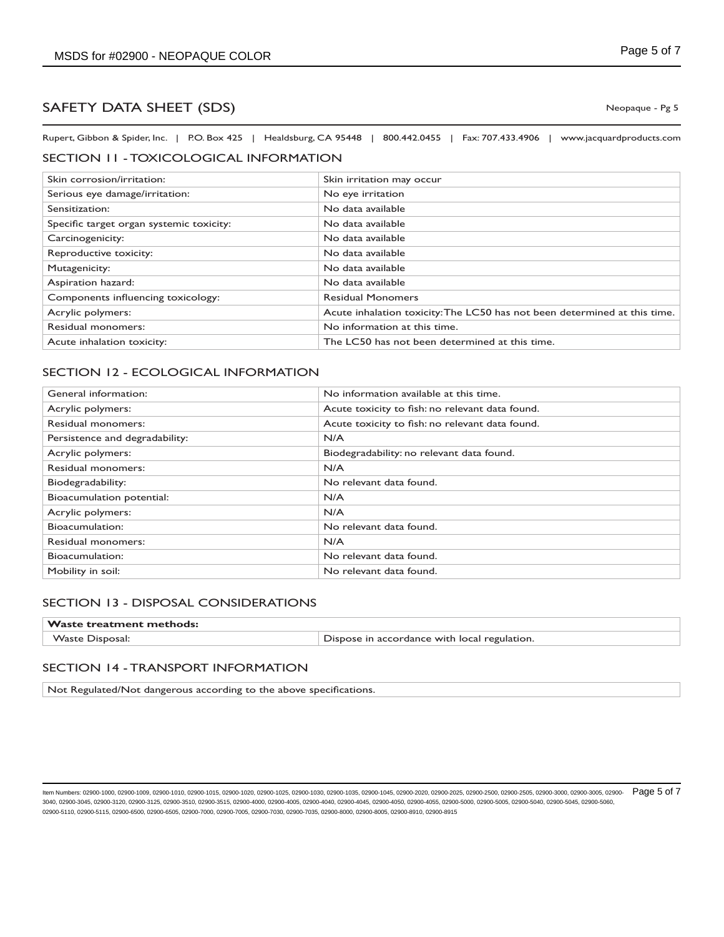Rupert, Gibbon & Spider, Inc. | P.O. Box 425 | Healdsburg, CA 95448 | 800.442.0455 | Fax: 707.433.4906 | www.jacquardproducts.com

## SECTION 11 - TOXICOLOGICAL INFORMATION

| Skin corrosion/irritation:               | Skin irritation may occur                                                 |
|------------------------------------------|---------------------------------------------------------------------------|
| Serious eye damage/irritation:           | No eye irritation                                                         |
| Sensitization:                           | No data available                                                         |
| Specific target organ systemic toxicity: | No data available                                                         |
| Carcinogenicity:                         | No data available                                                         |
| Reproductive toxicity:                   | No data available                                                         |
| Mutagenicity:                            | No data available                                                         |
| Aspiration hazard:                       | No data available                                                         |
| Components influencing toxicology:       | <b>Residual Monomers</b>                                                  |
| Acrylic polymers:                        | Acute inhalation toxicity: The LC50 has not been determined at this time. |
| Residual monomers:                       | No information at this time.                                              |
| Acute inhalation toxicity:               | The LC50 has not been determined at this time.                            |

## SECTION 12 - ECOLOGICAL INFORMATION

| General information:           | No information available at this time.          |
|--------------------------------|-------------------------------------------------|
| Acrylic polymers:              | Acute toxicity to fish: no relevant data found. |
| Residual monomers:             | Acute toxicity to fish: no relevant data found. |
| Persistence and degradability: | N/A                                             |
| Acrylic polymers:              | Biodegradability: no relevant data found.       |
| Residual monomers:             | N/A                                             |
| Biodegradability:              | No relevant data found.                         |
| Bioacumulation potential:      | N/A                                             |
| Acrylic polymers:              | N/A                                             |
| Bioacumulation:                | No relevant data found.                         |
| Residual monomers:             | N/A                                             |
| Bioacumulation:                | No relevant data found.                         |
| Mobility in soil:              | No relevant data found.                         |

## SECTION 13 - DISPOSAL CONSIDERATIONS

| $\mathsf{Waste\,\,treatment\,\,methods:}$ |                                              |
|-------------------------------------------|----------------------------------------------|
| <b>Waste Disposal:</b>                    | Dispose in accordance with local regulation. |

#### SECTION 14 - TRANSPORT INFORMATION

Not Regulated/Not dangerous according to the above specifications.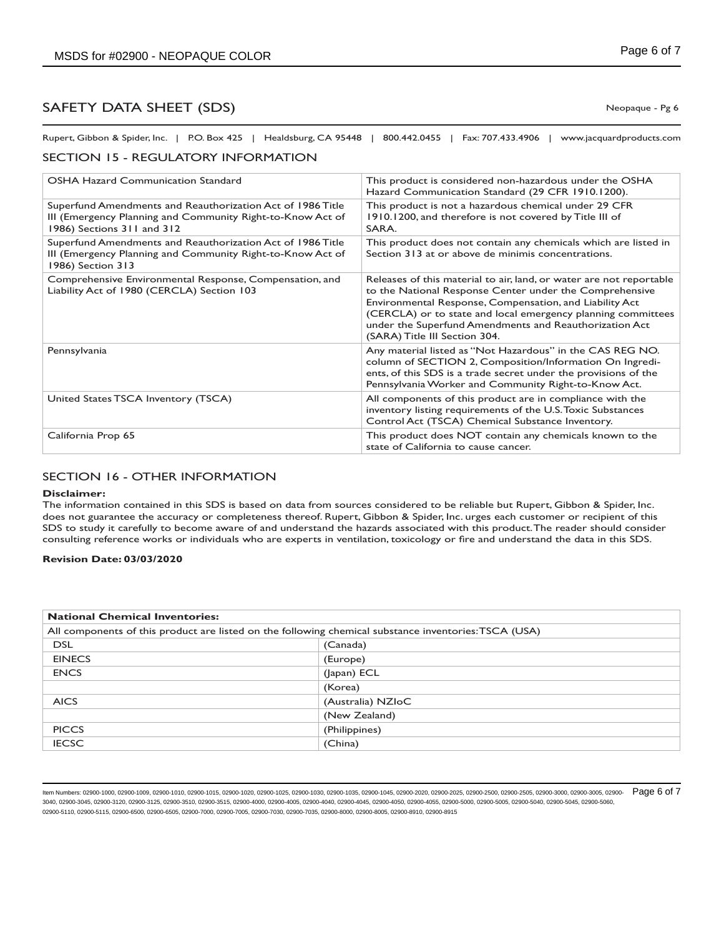Rupert, Gibbon & Spider, Inc. | P.O. Box 425 | Healdsburg, CA 95448 | 800.442.0455 | Fax: 707.433.4906 | www.jacquardproducts.com

## SECTION 15 - REGULATORY INFORMATION

| <b>OSHA Hazard Communication Standard</b>                                                                                                              | This product is considered non-hazardous under the OSHA<br>Hazard Communication Standard (29 CFR 1910.1200).                                                                                                                                                                                                                                         |
|--------------------------------------------------------------------------------------------------------------------------------------------------------|------------------------------------------------------------------------------------------------------------------------------------------------------------------------------------------------------------------------------------------------------------------------------------------------------------------------------------------------------|
| Superfund Amendments and Reauthorization Act of 1986 Title<br>III (Emergency Planning and Community Right-to-Know Act of<br>1986) Sections 311 and 312 | This product is not a hazardous chemical under 29 CFR<br>1910.1200, and therefore is not covered by Title III of<br>SARA.                                                                                                                                                                                                                            |
| Superfund Amendments and Reauthorization Act of 1986 Title<br>III (Emergency Planning and Community Right-to-Know Act of<br>1986) Section 313          | This product does not contain any chemicals which are listed in<br>Section 313 at or above de minimis concentrations.                                                                                                                                                                                                                                |
| Comprehensive Environmental Response, Compensation, and<br>Liability Act of 1980 (CERCLA) Section 103                                                  | Releases of this material to air, land, or water are not reportable<br>to the National Response Center under the Comprehensive<br>Environmental Response, Compensation, and Liability Act<br>(CERCLA) or to state and local emergency planning committees<br>under the Superfund Amendments and Reauthorization Act<br>(SARA) Title III Section 304. |
| Pennsylvania                                                                                                                                           | Any material listed as "Not Hazardous" in the CAS REG NO.<br>column of SECTION 2, Composition/Information On Ingredi-<br>ents, of this SDS is a trade secret under the provisions of the<br>Pennsylvania Worker and Community Right-to-Know Act.                                                                                                     |
| United States TSCA Inventory (TSCA)                                                                                                                    | All components of this product are in compliance with the<br>inventory listing requirements of the U.S. Toxic Substances<br>Control Act (TSCA) Chemical Substance Inventory.                                                                                                                                                                         |
| California Prop 65                                                                                                                                     | This product does NOT contain any chemicals known to the<br>state of California to cause cancer.                                                                                                                                                                                                                                                     |

## SECTION 16 - OTHER INFORMATION

#### **Disclaimer:**

The information contained in this SDS is based on data from sources considered to be reliable but Rupert, Gibbon & Spider, Inc. does not guarantee the accuracy or completeness thereof. Rupert, Gibbon & Spider, Inc. urges each customer or recipient of this SDS to study it carefully to become aware of and understand the hazards associated with this product. The reader should consider consulting reference works or individuals who are experts in ventilation, toxicology or fire and understand the data in this SDS.

#### **Revision Date: 03/03/2020**

| <b>National Chemical Inventories:</b>                                                                 |                   |
|-------------------------------------------------------------------------------------------------------|-------------------|
| All components of this product are listed on the following chemical substance inventories: TSCA (USA) |                   |
| <b>DSL</b>                                                                                            | (Canada)          |
| <b>EINECS</b>                                                                                         | (Europe)          |
| <b>ENCS</b>                                                                                           | (Japan) ECL       |
|                                                                                                       | (Korea)           |
| <b>AICS</b>                                                                                           | (Australia) NZIoC |
|                                                                                                       | (New Zealand)     |
| <b>PICCS</b>                                                                                          | (Philippines)     |
| <b>IECSC</b>                                                                                          | (China)           |